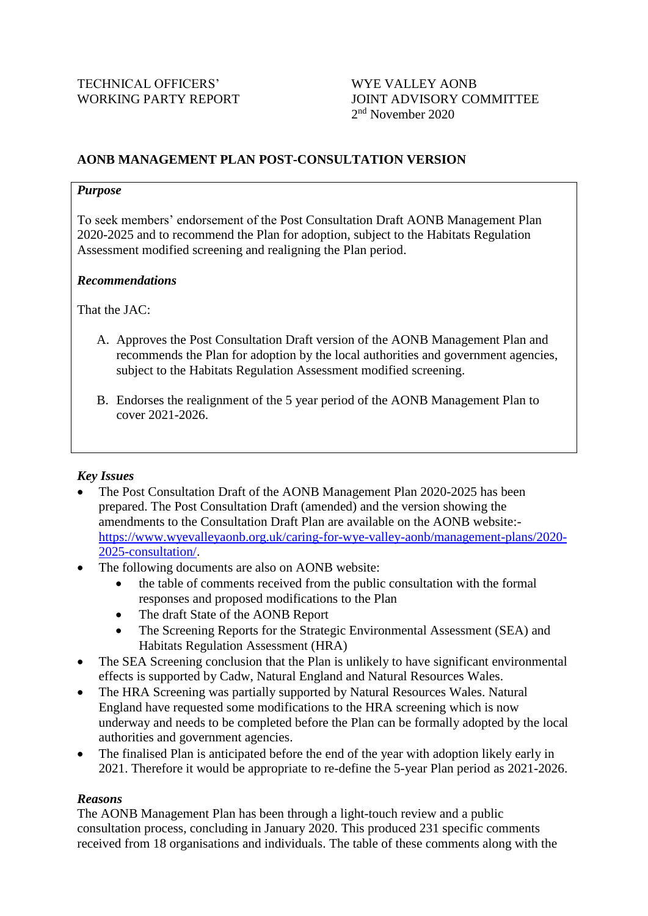# WORKING PARTY REPORT JOINT ADVISORY COMMITTEE 2<sup>nd</sup> November 2020

## **AONB MANAGEMENT PLAN POST-CONSULTATION VERSION**

#### *Purpose*

To seek members' endorsement of the Post Consultation Draft AONB Management Plan 2020-2025 and to recommend the Plan for adoption, subject to the Habitats Regulation Assessment modified screening and realigning the Plan period.

#### *Recommendations*

That the IAC:

- A. Approves the Post Consultation Draft version of the AONB Management Plan and recommends the Plan for adoption by the local authorities and government agencies, subject to the Habitats Regulation Assessment modified screening.
- B. Endorses the realignment of the 5 year period of the AONB Management Plan to cover 2021-2026.

#### *Key Issues*

- The Post Consultation Draft of the AONB Management Plan 2020-2025 has been prepared. The Post Consultation Draft (amended) and the version showing the amendments to the Consultation Draft Plan are available on the AONB website: [https://www.wyevalleyaonb.org.uk/caring-for-wye-valley-aonb/management-plans/2020-](https://www.wyevalleyaonb.org.uk/caring-for-wye-valley-aonb/management-plans/2020-2025-consultation/) [2025-consultation/.](https://www.wyevalleyaonb.org.uk/caring-for-wye-valley-aonb/management-plans/2020-2025-consultation/)
- The following documents are also on AONB website:
	- the table of comments received from the public consultation with the formal responses and proposed modifications to the Plan
	- The draft State of the AONB Report
	- The Screening Reports for the Strategic Environmental Assessment (SEA) and Habitats Regulation Assessment (HRA)
- The SEA Screening conclusion that the Plan is unlikely to have significant environmental effects is supported by Cadw, Natural England and Natural Resources Wales.
- The HRA Screening was partially supported by Natural Resources Wales. Natural England have requested some modifications to the HRA screening which is now underway and needs to be completed before the Plan can be formally adopted by the local authorities and government agencies.
- The finalised Plan is anticipated before the end of the year with adoption likely early in 2021. Therefore it would be appropriate to re-define the 5-year Plan period as 2021-2026.

#### *Reasons*

The AONB Management Plan has been through a light-touch review and a public consultation process, concluding in January 2020. This produced 231 specific comments received from 18 organisations and individuals. The table of these comments along with the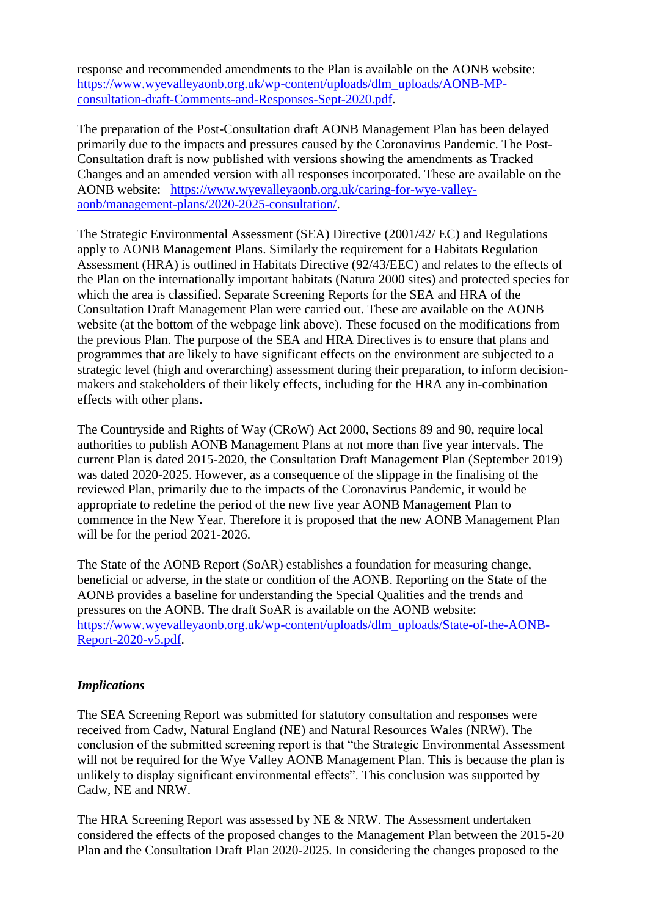response and recommended amendments to the Plan is available on the AONB website: [https://www.wyevalleyaonb.org.uk/wp-content/uploads/dlm\\_uploads/AONB-MP](https://www.wyevalleyaonb.org.uk/wp-content/uploads/dlm_uploads/AONB-MP-consultation-draft-Comments-and-Responses-Sept-2020.pdf)[consultation-draft-Comments-and-Responses-Sept-2020.pdf.](https://www.wyevalleyaonb.org.uk/wp-content/uploads/dlm_uploads/AONB-MP-consultation-draft-Comments-and-Responses-Sept-2020.pdf)

The preparation of the Post-Consultation draft AONB Management Plan has been delayed primarily due to the impacts and pressures caused by the Coronavirus Pandemic. The Post-Consultation draft is now published with versions showing the amendments as Tracked Changes and an amended version with all responses incorporated. These are available on the AONB website: [https://www.wyevalleyaonb.org.uk/caring-for-wye-valley](https://www.wyevalleyaonb.org.uk/caring-for-wye-valley-aonb/management-plans/2020-2025-consultation/)[aonb/management-plans/2020-2025-consultation/.](https://www.wyevalleyaonb.org.uk/caring-for-wye-valley-aonb/management-plans/2020-2025-consultation/)

The Strategic Environmental Assessment (SEA) Directive (2001/42/ EC) and Regulations apply to AONB Management Plans. Similarly the requirement for a Habitats Regulation Assessment (HRA) is outlined in Habitats Directive (92/43/EEC) and relates to the effects of the Plan on the internationally important habitats (Natura 2000 sites) and protected species for which the area is classified. Separate Screening Reports for the SEA and HRA of the Consultation Draft Management Plan were carried out. These are available on the AONB website (at the bottom of the webpage link above). These focused on the modifications from the previous Plan. The purpose of the SEA and HRA Directives is to ensure that plans and programmes that are likely to have significant effects on the environment are subjected to a strategic level (high and overarching) assessment during their preparation, to inform decisionmakers and stakeholders of their likely effects, including for the HRA any in-combination effects with other plans.

The Countryside and Rights of Way (CRoW) Act 2000, Sections 89 and 90, require local authorities to publish AONB Management Plans at not more than five year intervals. The current Plan is dated 2015-2020, the Consultation Draft Management Plan (September 2019) was dated 2020-2025. However, as a consequence of the slippage in the finalising of the reviewed Plan, primarily due to the impacts of the Coronavirus Pandemic, it would be appropriate to redefine the period of the new five year AONB Management Plan to commence in the New Year. Therefore it is proposed that the new AONB Management Plan will be for the period 2021-2026.

The State of the AONB Report (SoAR) establishes a foundation for measuring change, beneficial or adverse, in the state or condition of the AONB. Reporting on the State of the AONB provides a baseline for understanding the Special Qualities and the trends and pressures on the AONB. The draft SoAR is available on the AONB website: [https://www.wyevalleyaonb.org.uk/wp-content/uploads/dlm\\_uploads/State-of-the-AONB-](https://www.wyevalleyaonb.org.uk/wp-content/uploads/dlm_uploads/State-of-the-AONB-Report-2020-v5.pdf)[Report-2020-v5.pdf.](https://www.wyevalleyaonb.org.uk/wp-content/uploads/dlm_uploads/State-of-the-AONB-Report-2020-v5.pdf)

### *Implications*

The SEA Screening Report was submitted for statutory consultation and responses were received from Cadw, Natural England (NE) and Natural Resources Wales (NRW). The conclusion of the submitted screening report is that "the Strategic Environmental Assessment will not be required for the Wye Valley AONB Management Plan. This is because the plan is unlikely to display significant environmental effects". This conclusion was supported by Cadw, NE and NRW.

The HRA Screening Report was assessed by NE & NRW. The Assessment undertaken considered the effects of the proposed changes to the Management Plan between the 2015-20 Plan and the Consultation Draft Plan 2020-2025. In considering the changes proposed to the